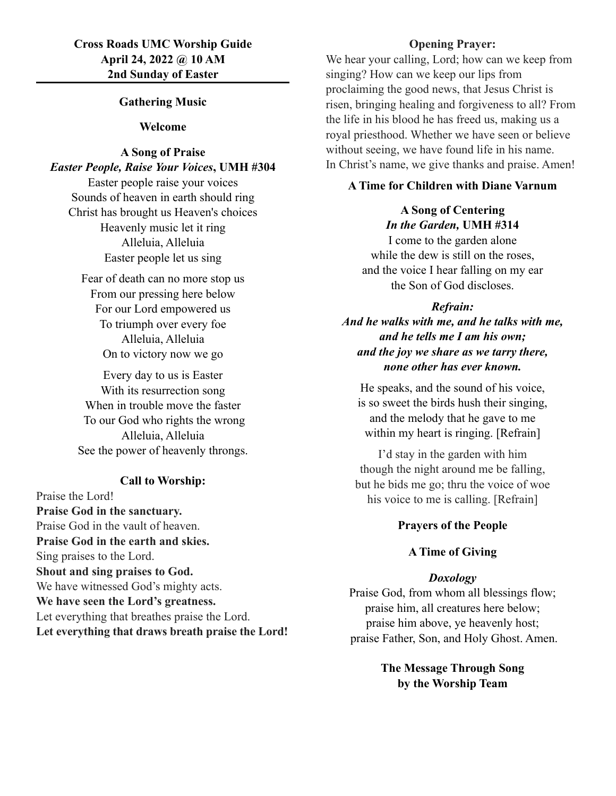## **Cross Roads UMC Worship Guide April 24, 2022 @ 10 AM 2nd Sunday of Easter**

### **Gathering Music**

#### **Welcome**

## **A Song of Praise** *Easter People, Raise Your Voices***, UMH #304**

Easter people raise your voices Sounds of heaven in earth should ring Christ has brought us Heaven's choices Heavenly music let it ring Alleluia, Alleluia Easter people let us sing

Fear of death can no more stop us From our pressing here below For our Lord empowered us To triumph over every foe Alleluia, Alleluia On to victory now we go

Every day to us is Easter With its resurrection song When in trouble move the faster To our God who rights the wrong Alleluia, Alleluia See the power of heavenly throngs.

## **Call to Worship:**

Praise the Lord! **Praise God in the sanctuary.** Praise God in the vault of heaven. **Praise God in the earth and skies.** Sing praises to the Lord. **Shout and sing praises to God.** We have witnessed God's mighty acts. **We have seen the Lord's greatness.** Let everything that breathes praise the Lord. **Let everything that draws breath praise the Lord!**

### **Opening Prayer:**

We hear your calling, Lord; how can we keep from singing? How can we keep our lips from proclaiming the good news, that Jesus Christ is risen, bringing healing and forgiveness to all? From the life in his blood he has freed us, making us a royal priesthood. Whether we have seen or believe without seeing, we have found life in his name. In Christ's name, we give thanks and praise. Amen!

### **A Time for Children with Diane Varnum**

# **A Song of Centering** *In the Garden,* **UMH #314**

I come to the garden alone while the dew is still on the roses, and the voice I hear falling on my ear the Son of God discloses.

#### *Refrain:*

*And he walks with me, and he talks with me, and he tells me I am his own; and the joy we share as we tarry there, none other has ever known.*

He speaks, and the sound of his voice, is so sweet the birds hush their singing, and the melody that he gave to me within my heart is ringing. [Refrain]

I'd stay in the garden with him though the night around me be falling, but he bids me go; thru the voice of woe his voice to me is calling. [Refrain]

#### **Prayers of the People**

## **A Time of Giving**

## *Doxology*

Praise God, from whom all blessings flow; praise him, all creatures here below; praise him above, ye heavenly host; praise Father, Son, and Holy Ghost. Amen.

> **The Message Through Song by the Worship Team**